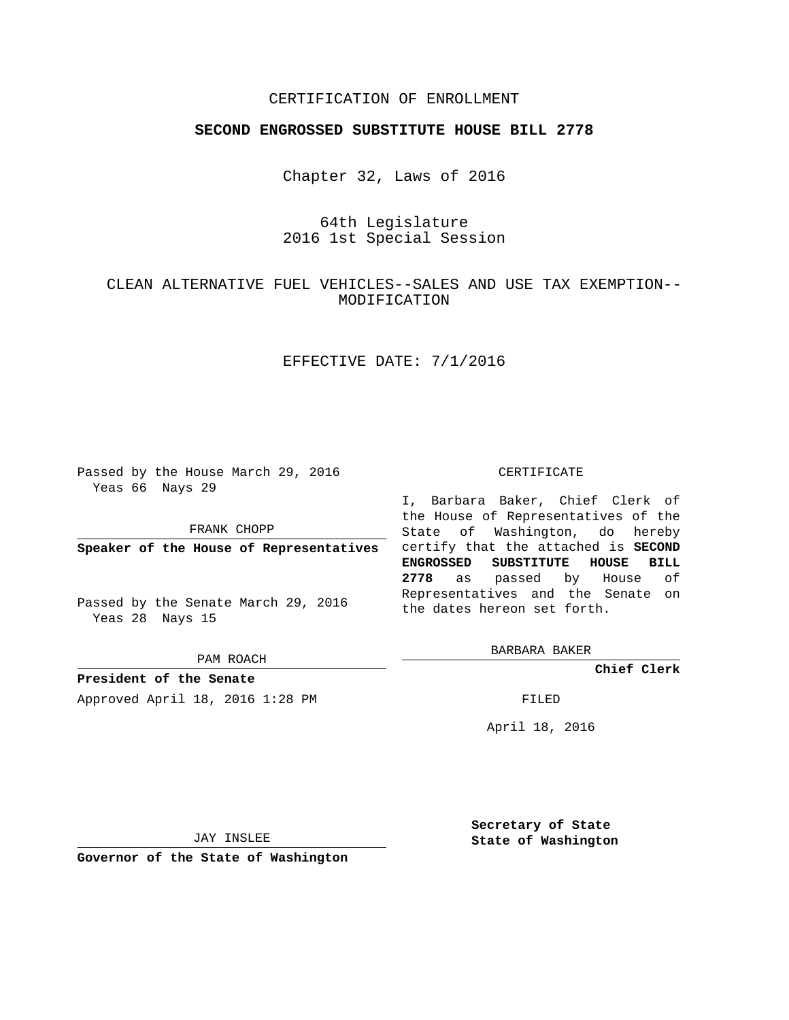## CERTIFICATION OF ENROLLMENT

## **SECOND ENGROSSED SUBSTITUTE HOUSE BILL 2778**

Chapter 32, Laws of 2016

64th Legislature 2016 1st Special Session

CLEAN ALTERNATIVE FUEL VEHICLES--SALES AND USE TAX EXEMPTION-- MODIFICATION

# EFFECTIVE DATE: 7/1/2016

Passed by the House March 29, 2016 Yeas 66 Nays 29

FRANK CHOPP

**Speaker of the House of Representatives**

Passed by the Senate March 29, 2016 Yeas 28 Nays 15

PAM ROACH

**President of the Senate** Approved April 18, 2016 1:28 PM FILED

#### CERTIFICATE

I, Barbara Baker, Chief Clerk of the House of Representatives of the State of Washington, do hereby certify that the attached is **SECOND ENGROSSED SUBSTITUTE HOUSE BILL 2778** as passed by House of Representatives and the Senate on the dates hereon set forth.

BARBARA BAKER

**Chief Clerk**

April 18, 2016

JAY INSLEE

**Governor of the State of Washington**

**Secretary of State State of Washington**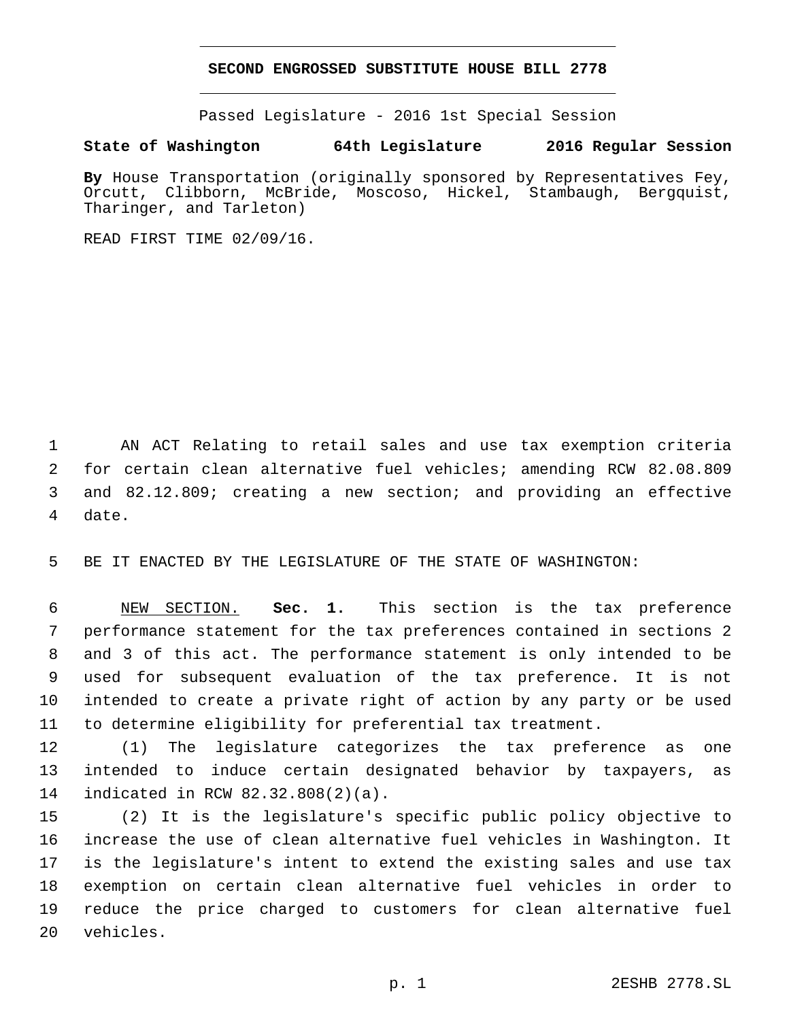### **SECOND ENGROSSED SUBSTITUTE HOUSE BILL 2778**

Passed Legislature - 2016 1st Special Session

## **State of Washington 64th Legislature 2016 Regular Session**

**By** House Transportation (originally sponsored by Representatives Fey, Orcutt, Clibborn, McBride, Moscoso, Hickel, Stambaugh, Bergquist, Tharinger, and Tarleton)

READ FIRST TIME 02/09/16.

 AN ACT Relating to retail sales and use tax exemption criteria for certain clean alternative fuel vehicles; amending RCW 82.08.809 and 82.12.809; creating a new section; and providing an effective 4 date.

BE IT ENACTED BY THE LEGISLATURE OF THE STATE OF WASHINGTON:

 NEW SECTION. **Sec. 1.** This section is the tax preference performance statement for the tax preferences contained in sections 2 and 3 of this act. The performance statement is only intended to be used for subsequent evaluation of the tax preference. It is not intended to create a private right of action by any party or be used to determine eligibility for preferential tax treatment.

 (1) The legislature categorizes the tax preference as one intended to induce certain designated behavior by taxpayers, as 14 indicated in RCW 82.32.808(2)(a).

 (2) It is the legislature's specific public policy objective to increase the use of clean alternative fuel vehicles in Washington. It is the legislature's intent to extend the existing sales and use tax exemption on certain clean alternative fuel vehicles in order to reduce the price charged to customers for clean alternative fuel 20 vehicles.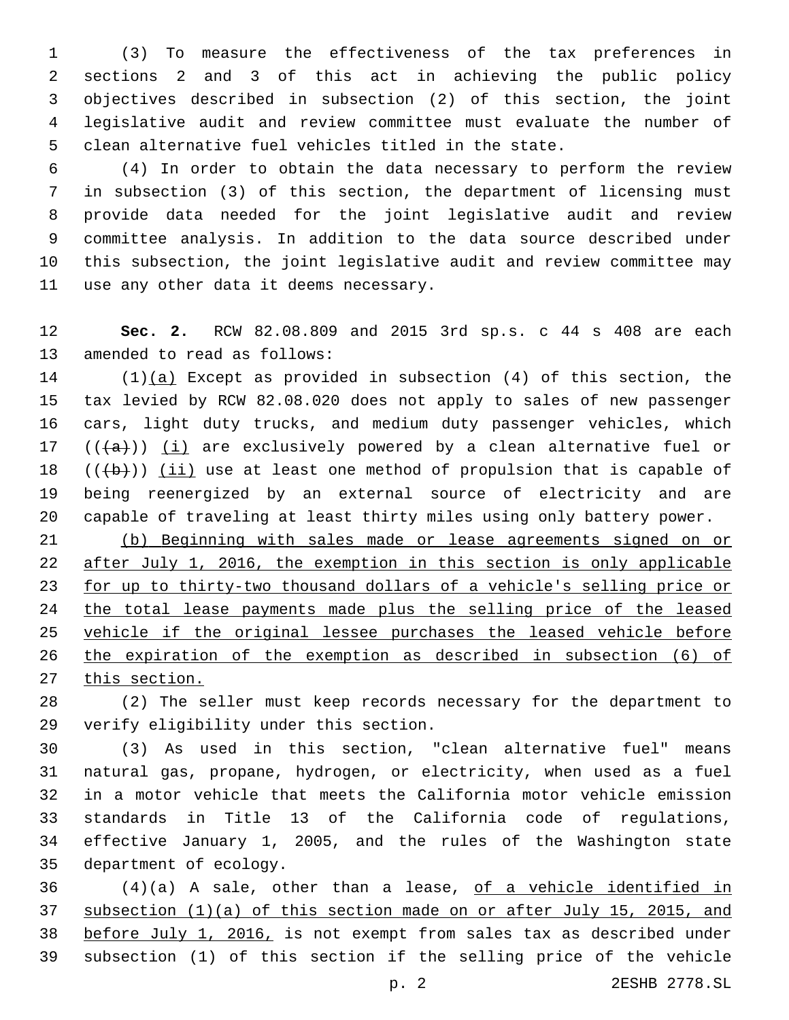(3) To measure the effectiveness of the tax preferences in sections 2 and 3 of this act in achieving the public policy objectives described in subsection (2) of this section, the joint legislative audit and review committee must evaluate the number of clean alternative fuel vehicles titled in the state.

 (4) In order to obtain the data necessary to perform the review in subsection (3) of this section, the department of licensing must provide data needed for the joint legislative audit and review committee analysis. In addition to the data source described under this subsection, the joint legislative audit and review committee may 11 use any other data it deems necessary.

 **Sec. 2.** RCW 82.08.809 and 2015 3rd sp.s. c 44 s 408 are each 13 amended to read as follows:

 (1)(a) Except as provided in subsection (4) of this section, the tax levied by RCW 82.08.020 does not apply to sales of new passenger cars, light duty trucks, and medium duty passenger vehicles, which  $((+a))$   $(i)$  are exclusively powered by a clean alternative fuel or  $((+b))$  (ii) use at least one method of propulsion that is capable of being reenergized by an external source of electricity and are capable of traveling at least thirty miles using only battery power.

 (b) Beginning with sales made or lease agreements signed on or 22 after July 1, 2016, the exemption in this section is only applicable for up to thirty-two thousand dollars of a vehicle's selling price or 24 the total lease payments made plus the selling price of the leased vehicle if the original lessee purchases the leased vehicle before the expiration of the exemption as described in subsection (6) of 27 this section.

 (2) The seller must keep records necessary for the department to 29 verify eligibility under this section.

 (3) As used in this section, "clean alternative fuel" means natural gas, propane, hydrogen, or electricity, when used as a fuel in a motor vehicle that meets the California motor vehicle emission standards in Title 13 of the California code of regulations, effective January 1, 2005, and the rules of the Washington state 35 department of ecology.

 (4)(a) A sale, other than a lease, of a vehicle identified in subsection (1)(a) of this section made on or after July 15, 2015, and before July 1, 2016, is not exempt from sales tax as described under subsection (1) of this section if the selling price of the vehicle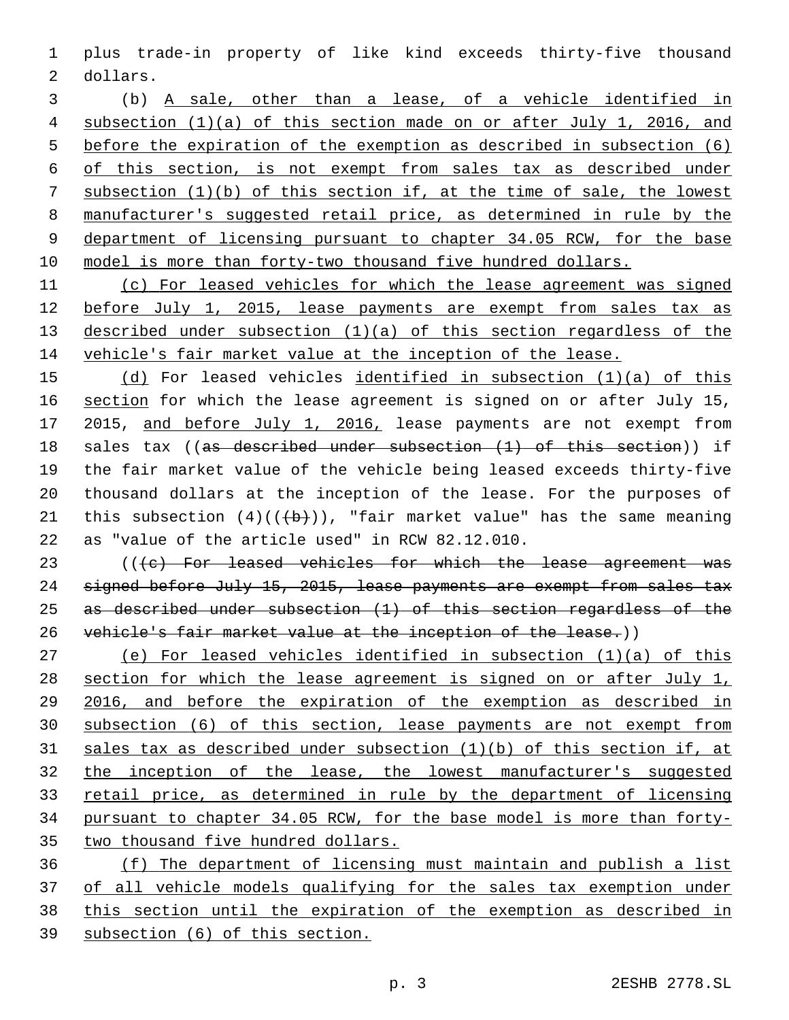plus trade-in property of like kind exceeds thirty-five thousand 2 dollars.

 (b) A sale, other than a lease, of a vehicle identified in subsection (1)(a) of this section made on or after July 1, 2016, and before the expiration of the exemption as described in subsection (6) of this section, is not exempt from sales tax as described under subsection (1)(b) of this section if, at the time of sale, the lowest manufacturer's suggested retail price, as determined in rule by the department of licensing pursuant to chapter 34.05 RCW, for the base model is more than forty-two thousand five hundred dollars.

 (c) For leased vehicles for which the lease agreement was signed before July 1, 2015, lease payments are exempt from sales tax as described under subsection (1)(a) of this section regardless of the vehicle's fair market value at the inception of the lease.

 (d) For leased vehicles identified in subsection (1)(a) of this section for which the lease agreement is signed on or after July 15, 2015, and before July 1, 2016, lease payments are not exempt from sales tax ((as described under subsection (1) of this section)) if the fair market value of the vehicle being leased exceeds thirty-five thousand dollars at the inception of the lease. For the purposes of 21 this subsection  $(4)((+b))$ , "fair market value" has the same meaning 22 as "value of the article used" in RCW  $82.12.010$ .

23 (((c) For leased vehicles for which the lease agreement was 24 signed before July 15, 2015, lease payments are exempt from sales tax as described under subsection (1) of this section regardless of the vehicle's fair market value at the inception of the lease.))

 (e) For leased vehicles identified in subsection (1)(a) of this section for which the lease agreement is signed on or after July 1, 2016, and before the expiration of the exemption as described in subsection (6) of this section, lease payments are not exempt from sales tax as described under subsection (1)(b) of this section if, at the inception of the lease, the lowest manufacturer's suggested retail price, as determined in rule by the department of licensing pursuant to chapter 34.05 RCW, for the base model is more than forty-two thousand five hundred dollars.

 (f) The department of licensing must maintain and publish a list of all vehicle models qualifying for the sales tax exemption under this section until the expiration of the exemption as described in subsection (6) of this section.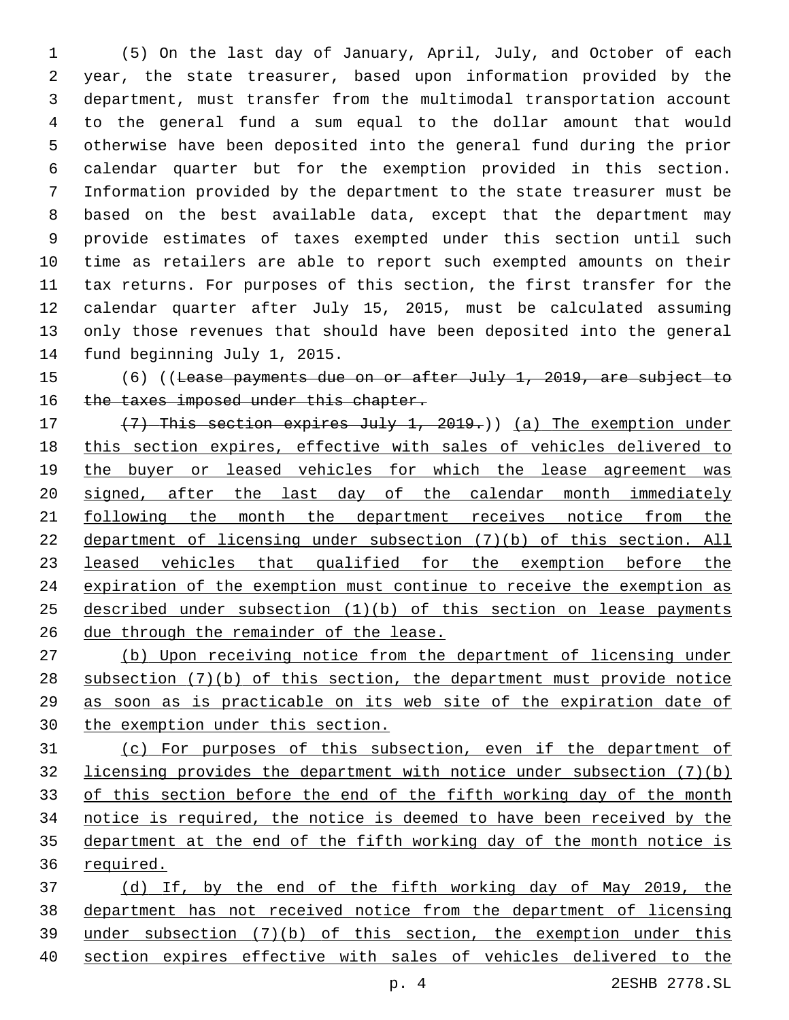(5) On the last day of January, April, July, and October of each year, the state treasurer, based upon information provided by the department, must transfer from the multimodal transportation account to the general fund a sum equal to the dollar amount that would otherwise have been deposited into the general fund during the prior calendar quarter but for the exemption provided in this section. Information provided by the department to the state treasurer must be based on the best available data, except that the department may provide estimates of taxes exempted under this section until such time as retailers are able to report such exempted amounts on their tax returns. For purposes of this section, the first transfer for the calendar quarter after July 15, 2015, must be calculated assuming only those revenues that should have been deposited into the general 14 fund beginning July 1, 2015.

 (6) ((Lease payments due on or after July 1, 2019, are subject to 16 the taxes imposed under this chapter.

17 (7) This section expires July 1, 2019.)) (a) The exemption under this section expires, effective with sales of vehicles delivered to 19 the buyer or leased vehicles for which the lease agreement was signed, after the last day of the calendar month immediately 21 following the month the department receives notice from the department of licensing under subsection (7)(b) of this section. All leased vehicles that qualified for the exemption before the expiration of the exemption must continue to receive the exemption as described under subsection (1)(b) of this section on lease payments due through the remainder of the lease.

 (b) Upon receiving notice from the department of licensing under subsection (7)(b) of this section, the department must provide notice as soon as is practicable on its web site of the expiration date of the exemption under this section.

 (c) For purposes of this subsection, even if the department of licensing provides the department with notice under subsection (7)(b) of this section before the end of the fifth working day of the month notice is required, the notice is deemed to have been received by the department at the end of the fifth working day of the month notice is required.

 (d) If, by the end of the fifth working day of May 2019, the department has not received notice from the department of licensing under subsection (7)(b) of this section, the exemption under this section expires effective with sales of vehicles delivered to the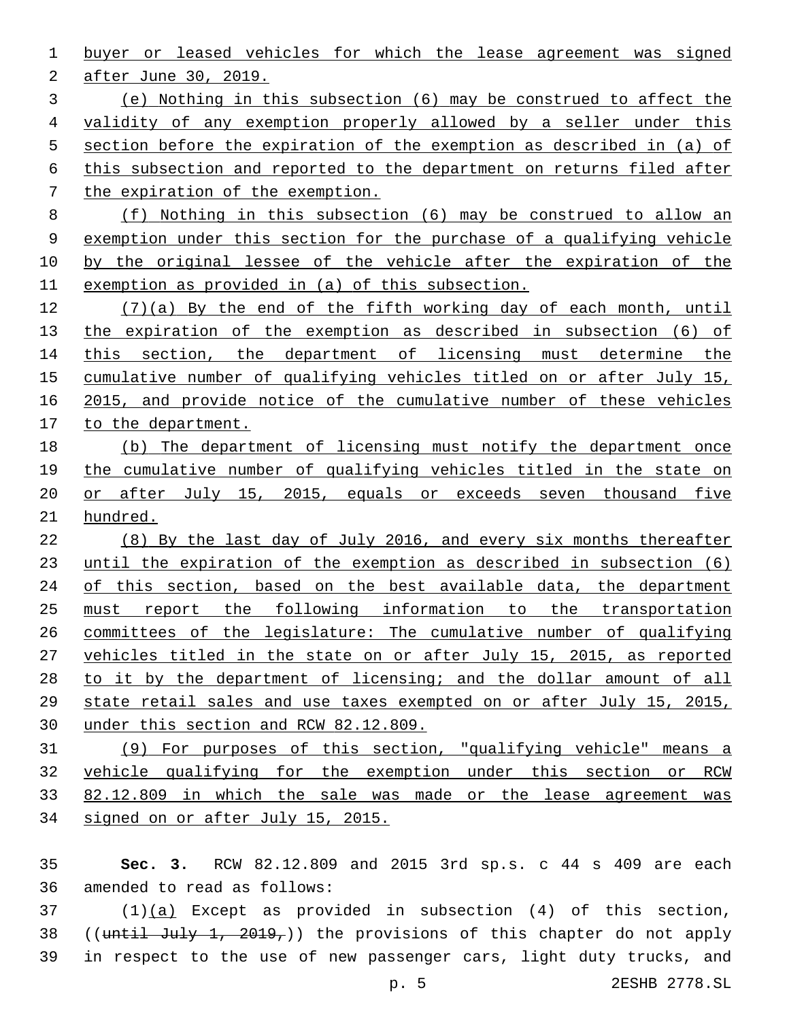buyer or leased vehicles for which the lease agreement was signed 2 after June 30, 2019. (e) Nothing in this subsection (6) may be construed to affect the validity of any exemption properly allowed by a seller under this section before the expiration of the exemption as described in (a) of this subsection and reported to the department on returns filed after the expiration of the exemption. (f) Nothing in this subsection (6) may be construed to allow an exemption under this section for the purchase of a qualifying vehicle by the original lessee of the vehicle after the expiration of the exemption as provided in (a) of this subsection. (7)(a) By the end of the fifth working day of each month, until

 the expiration of the exemption as described in subsection (6) of 14 this section, the department of licensing must determine the cumulative number of qualifying vehicles titled on or after July 15, 2015, and provide notice of the cumulative number of these vehicles to the department.

 (b) The department of licensing must notify the department once 19 the cumulative number of qualifying vehicles titled in the state on or after July 15, 2015, equals or exceeds seven thousand five hundred.

 (8) By the last day of July 2016, and every six months thereafter until the expiration of the exemption as described in subsection (6) 24 of this section, based on the best available data, the department must report the following information to the transportation committees of the legislature: The cumulative number of qualifying vehicles titled in the state on or after July 15, 2015, as reported to it by the department of licensing; and the dollar amount of all state retail sales and use taxes exempted on or after July 15, 2015, under this section and RCW 82.12.809.

 (9) For purposes of this section, "qualifying vehicle" means a vehicle qualifying for the exemption under this section or RCW 82.12.809 in which the sale was made or the lease agreement was signed on or after July 15, 2015.

 **Sec. 3.** RCW 82.12.809 and 2015 3rd sp.s. c 44 s 409 are each 36 amended to read as follows:

 (1)(a) Except as provided in subsection (4) of this section, 38 ((until July 1, 2019,)) the provisions of this chapter do not apply in respect to the use of new passenger cars, light duty trucks, and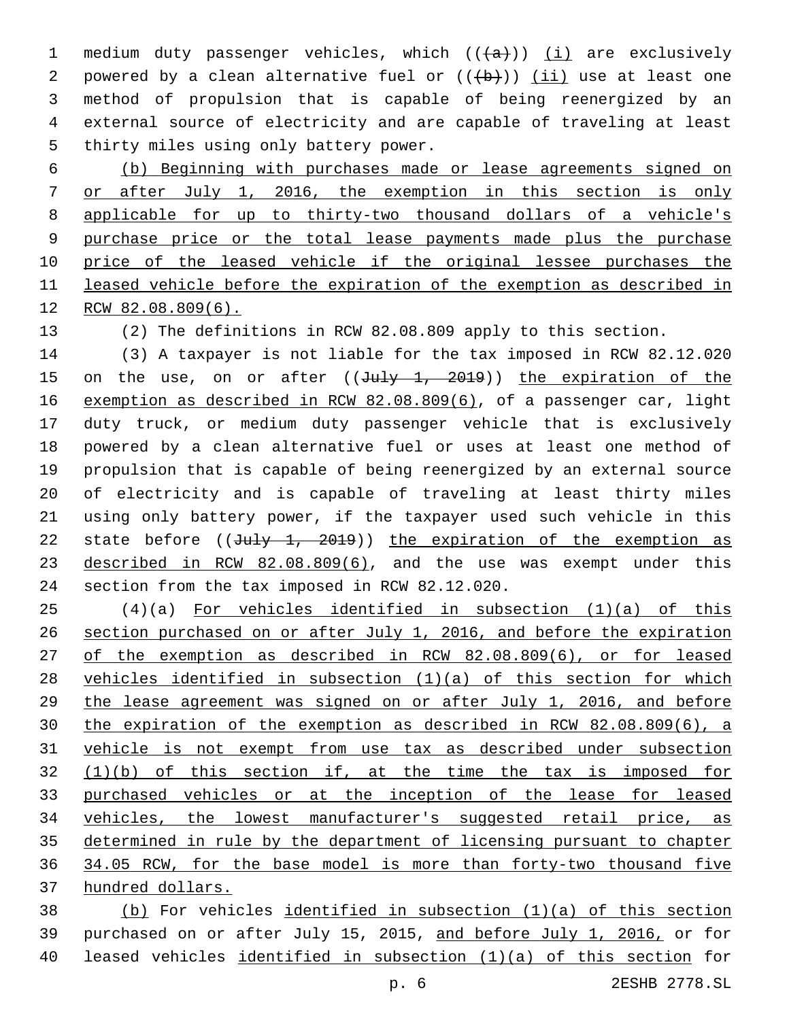1 medium duty passenger vehicles, which  $((+a))$  (i) are exclusively 2 powered by a clean alternative fuel or  $((+b))$  (ii) use at least one method of propulsion that is capable of being reenergized by an external source of electricity and are capable of traveling at least 5 thirty miles using only battery power.

 (b) Beginning with purchases made or lease agreements signed on or after July 1, 2016, the exemption in this section is only applicable for up to thirty-two thousand dollars of a vehicle's purchase price or the total lease payments made plus the purchase price of the leased vehicle if the original lessee purchases the leased vehicle before the expiration of the exemption as described in RCW 82.08.809(6).

(2) The definitions in RCW 82.08.809 apply to this section.

 (3) A taxpayer is not liable for the tax imposed in RCW 82.12.020 15 on the use, on or after ((July 1, 2019)) the expiration of the exemption as described in RCW 82.08.809(6), of a passenger car, light duty truck, or medium duty passenger vehicle that is exclusively powered by a clean alternative fuel or uses at least one method of propulsion that is capable of being reenergized by an external source of electricity and is capable of traveling at least thirty miles using only battery power, if the taxpayer used such vehicle in this 22 state before  $((\text{July } 1, 2019))$  the expiration of the exemption as 23 described in RCW 82.08.809(6), and the use was exempt under this 24 section from the tax imposed in RCW 82.12.020.

 (4)(a) For vehicles identified in subsection (1)(a) of this section purchased on or after July 1, 2016, and before the expiration of the exemption as described in RCW 82.08.809(6), or for leased 28 vehicles identified in subsection  $(1)(a)$  of this section for which the lease agreement was signed on or after July 1, 2016, and before the expiration of the exemption as described in RCW 82.08.809(6), a vehicle is not exempt from use tax as described under subsection (1)(b) of this section if, at the time the tax is imposed for purchased vehicles or at the inception of the lease for leased vehicles, the lowest manufacturer's suggested retail price, as determined in rule by the department of licensing pursuant to chapter 34.05 RCW, for the base model is more than forty-two thousand five hundred dollars.

 (b) For vehicles identified in subsection (1)(a) of this section purchased on or after July 15, 2015, and before July 1, 2016, or for leased vehicles identified in subsection (1)(a) of this section for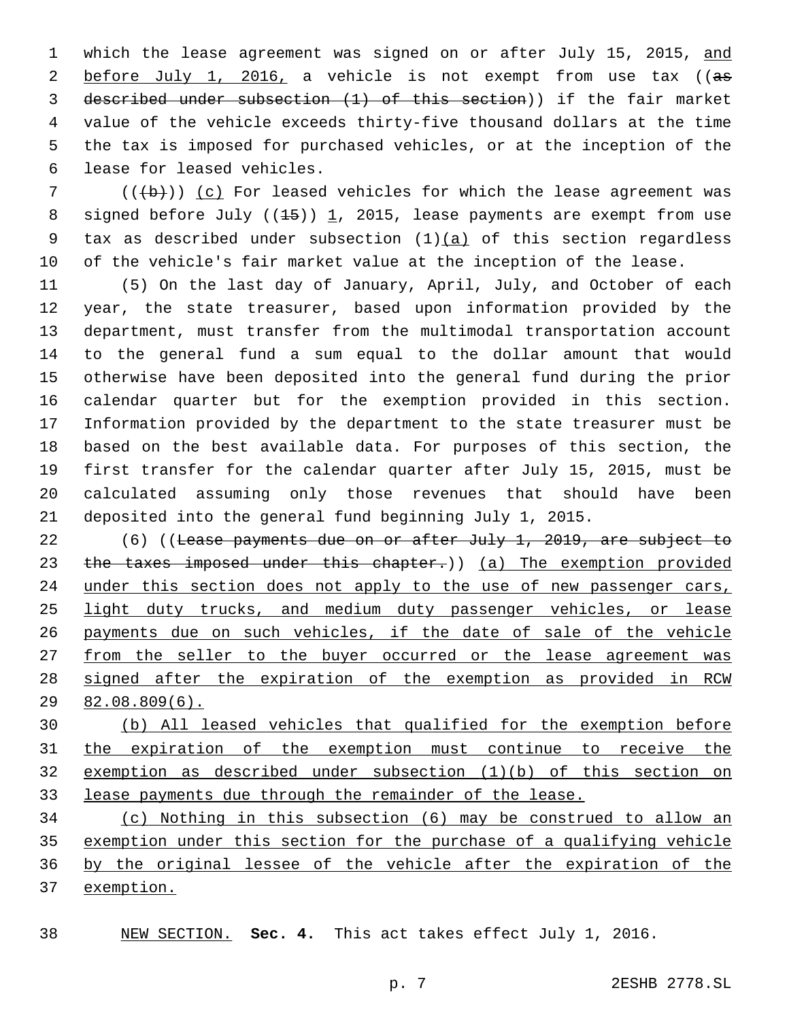1 which the lease agreement was signed on or after July 15, 2015, and 2 before July 1, 2016, a vehicle is not exempt from use tax ((as described under subsection (1) of this section)) if the fair market value of the vehicle exceeds thirty-five thousand dollars at the time the tax is imposed for purchased vehicles, or at the inception of the 6 lease for leased vehicles.

 (( $\left(\frac{1}{2}+\frac{1}{2}\right)$ ) (c) For leased vehicles for which the lease agreement was 8 signed before July  $((15))$  1, 2015, lease payments are exempt from use 9 tax as described under subsection  $(1)(a)$  of this section regardless of the vehicle's fair market value at the inception of the lease.

 (5) On the last day of January, April, July, and October of each year, the state treasurer, based upon information provided by the department, must transfer from the multimodal transportation account to the general fund a sum equal to the dollar amount that would otherwise have been deposited into the general fund during the prior calendar quarter but for the exemption provided in this section. Information provided by the department to the state treasurer must be based on the best available data. For purposes of this section, the first transfer for the calendar quarter after July 15, 2015, must be calculated assuming only those revenues that should have been deposited into the general fund beginning July 1, 2015.

22 (6) ((Lease payments due on or after July 1, 2019, are subject to 23 the taxes imposed under this chapter.)) (a) The exemption provided 24 under this section does not apply to the use of new passenger cars, 25 light duty trucks, and medium duty passenger vehicles, or lease payments due on such vehicles, if the date of sale of the vehicle 27 from the seller to the buyer occurred or the lease agreement was signed after the expiration of the exemption as provided in RCW 82.08.809(6).

 (b) All leased vehicles that qualified for the exemption before the expiration of the exemption must continue to receive the exemption as described under subsection (1)(b) of this section on lease payments due through the remainder of the lease.

 (c) Nothing in this subsection (6) may be construed to allow an exemption under this section for the purchase of a qualifying vehicle by the original lessee of the vehicle after the expiration of the exemption.

NEW SECTION. **Sec. 4.** This act takes effect July 1, 2016.